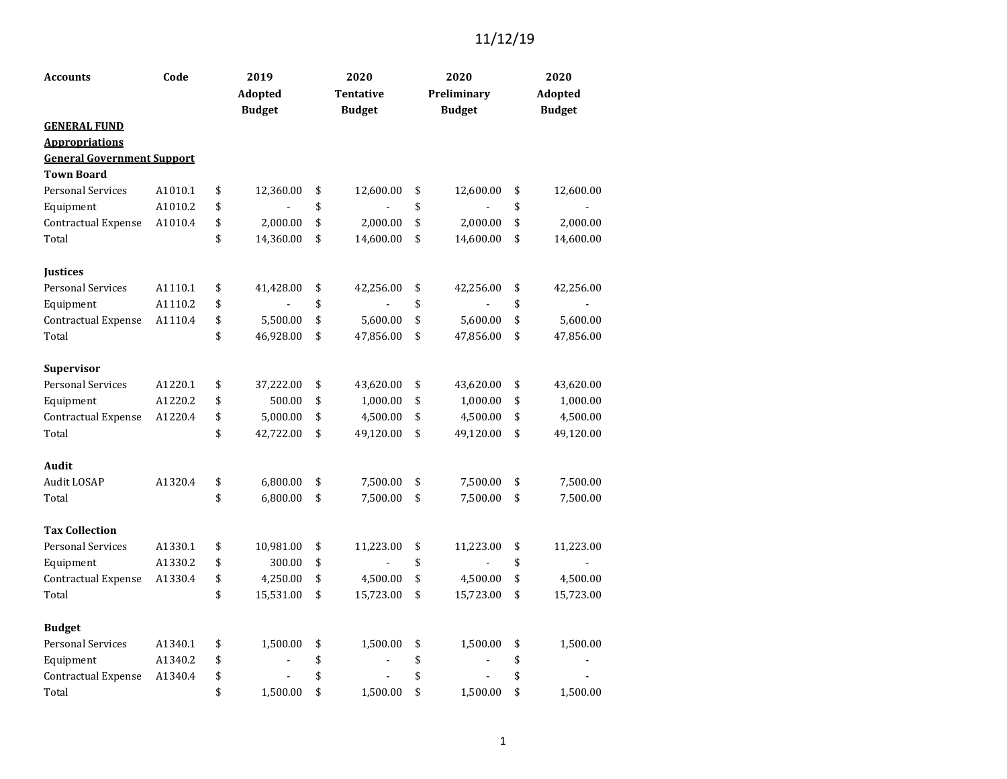| <b>Accounts</b>                   | Code    | 2019            | 2020             | 2020            | 2020            |
|-----------------------------------|---------|-----------------|------------------|-----------------|-----------------|
|                                   |         | Adopted         | <b>Tentative</b> | Preliminary     | Adopted         |
|                                   |         | <b>Budget</b>   | <b>Budget</b>    | <b>Budget</b>   | <b>Budget</b>   |
| <b>GENERAL FUND</b>               |         |                 |                  |                 |                 |
| <b>Appropriations</b>             |         |                 |                  |                 |                 |
| <b>General Government Support</b> |         |                 |                  |                 |                 |
| <b>Town Board</b>                 |         |                 |                  |                 |                 |
| <b>Personal Services</b>          | A1010.1 | \$<br>12,360.00 | \$<br>12,600.00  | \$<br>12,600.00 | \$<br>12,600.00 |
| Equipment                         | A1010.2 | \$              | \$               | \$              | \$              |
| Contractual Expense               | A1010.4 | \$<br>2,000.00  | \$<br>2,000.00   | \$<br>2,000.00  | \$<br>2,000.00  |
| Total                             |         | \$<br>14,360.00 | \$<br>14,600.00  | \$<br>14,600.00 | \$<br>14,600.00 |
| <b>Justices</b>                   |         |                 |                  |                 |                 |
| <b>Personal Services</b>          | A1110.1 | \$<br>41,428.00 | \$<br>42,256.00  | \$<br>42,256.00 | \$<br>42,256.00 |
| Equipment                         | A1110.2 | \$              | \$               | \$              | \$              |
| Contractual Expense               | A1110.4 | \$<br>5,500.00  | \$<br>5,600.00   | \$<br>5,600.00  | \$<br>5,600.00  |
| Total                             |         | \$<br>46,928.00 | \$<br>47,856.00  | \$<br>47,856.00 | \$<br>47,856.00 |
| Supervisor                        |         |                 |                  |                 |                 |
| <b>Personal Services</b>          | A1220.1 | \$<br>37,222.00 | \$<br>43,620.00  | \$<br>43,620.00 | \$<br>43,620.00 |
| Equipment                         | A1220.2 | \$<br>500.00    | \$<br>1,000.00   | \$<br>1,000.00  | \$<br>1,000.00  |
| Contractual Expense               | A1220.4 | \$<br>5,000.00  | \$<br>4,500.00   | \$<br>4,500.00  | \$<br>4,500.00  |
| Total                             |         | \$<br>42,722.00 | \$<br>49,120.00  | \$<br>49,120.00 | \$<br>49,120.00 |
| Audit                             |         |                 |                  |                 |                 |
| Audit LOSAP                       | A1320.4 | \$<br>6,800.00  | \$<br>7,500.00   | \$<br>7,500.00  | \$<br>7,500.00  |
| Total                             |         | \$<br>6,800.00  | \$<br>7,500.00   | \$<br>7,500.00  | \$<br>7,500.00  |
| <b>Tax Collection</b>             |         |                 |                  |                 |                 |
| Personal Services                 | A1330.1 | \$<br>10,981.00 | \$<br>11,223.00  | \$<br>11,223.00 | \$<br>11,223.00 |
| Equipment                         | A1330.2 | \$<br>300.00    | \$               | \$              | \$              |
| Contractual Expense               | A1330.4 | \$<br>4,250.00  | \$<br>4,500.00   | \$<br>4,500.00  | \$<br>4,500.00  |
| Total                             |         | \$<br>15,531.00 | \$<br>15,723.00  | \$<br>15,723.00 | \$<br>15,723.00 |
| <b>Budget</b>                     |         |                 |                  |                 |                 |
| <b>Personal Services</b>          | A1340.1 | \$<br>1,500.00  | \$<br>1,500.00   | \$<br>1,500.00  | \$<br>1,500.00  |
| Equipment                         | A1340.2 | \$              | \$               | \$<br>÷         | \$              |
| Contractual Expense               | A1340.4 | \$              | \$               | \$              | \$              |
| Total                             |         | \$<br>1,500.00  | \$<br>1,500.00   | \$<br>1,500.00  | \$<br>1,500.00  |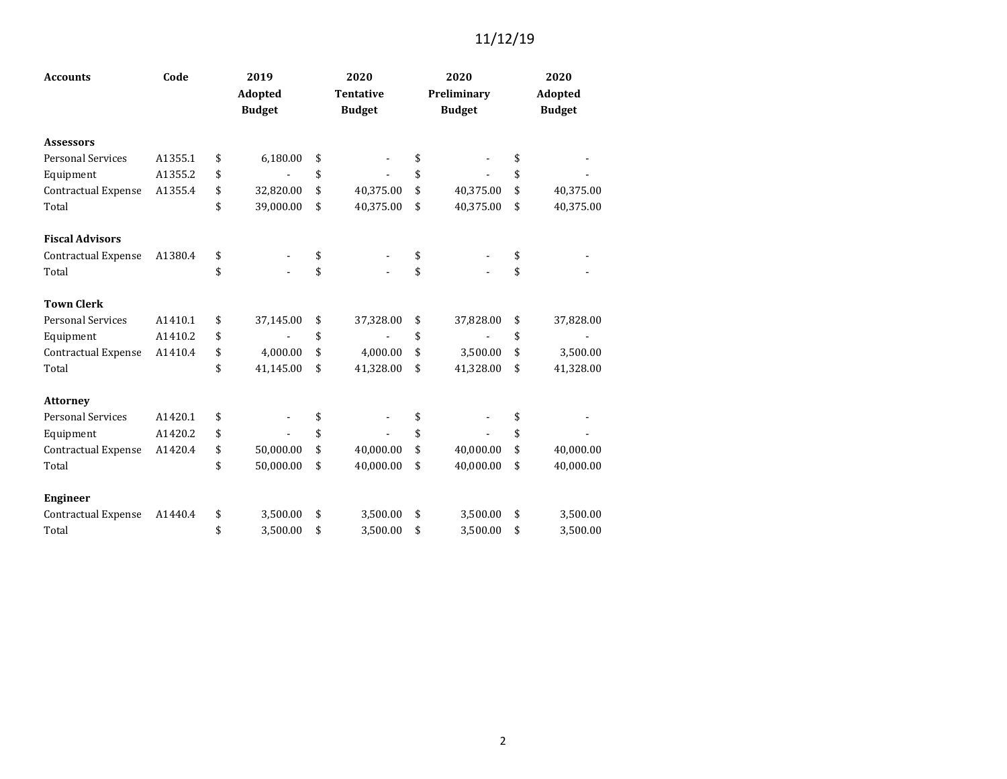| <b>Accounts</b>            | Code    |    | 2019                     | 2020                              | 2020                         | 2020                     |  |
|----------------------------|---------|----|--------------------------|-----------------------------------|------------------------------|--------------------------|--|
|                            |         |    | Adopted<br><b>Budget</b> | <b>Tentative</b><br><b>Budget</b> | Preliminary<br><b>Budget</b> | Adopted<br><b>Budget</b> |  |
| <b>Assessors</b>           |         |    |                          |                                   |                              |                          |  |
| <b>Personal Services</b>   | A1355.1 | \$ | 6,180.00                 | \$                                | \$                           | \$                       |  |
| Equipment                  | A1355.2 | \$ |                          | \$                                | \$<br>÷                      | \$                       |  |
| <b>Contractual Expense</b> | A1355.4 | \$ | 32,820.00                | \$<br>40,375.00                   | \$<br>40,375.00              | \$<br>40,375.00          |  |
| Total                      |         | \$ | 39,000.00                | \$<br>40,375.00                   | \$<br>40,375.00              | \$<br>40,375.00          |  |
| <b>Fiscal Advisors</b>     |         |    |                          |                                   |                              |                          |  |
| Contractual Expense        | A1380.4 | \$ |                          | \$                                | \$                           | \$                       |  |
| Total                      |         | \$ |                          | \$                                | \$                           | \$                       |  |
| <b>Town Clerk</b>          |         |    |                          |                                   |                              |                          |  |
| <b>Personal Services</b>   | A1410.1 | \$ | 37,145.00                | \$<br>37,328.00                   | \$<br>37,828.00              | \$<br>37,828.00          |  |
| Equipment                  | A1410.2 | \$ |                          | \$                                | \$                           | \$                       |  |
| Contractual Expense        | A1410.4 | \$ | 4,000.00                 | \$<br>4,000.00                    | \$<br>3,500.00               | \$<br>3,500.00           |  |
| Total                      |         | \$ | 41,145.00                | \$<br>41,328.00                   | \$<br>41,328.00              | \$<br>41,328.00          |  |
| <b>Attorney</b>            |         |    |                          |                                   |                              |                          |  |
| <b>Personal Services</b>   | A1420.1 | \$ |                          | \$                                | \$                           | \$                       |  |
| Equipment                  | A1420.2 | \$ |                          | \$                                | \$                           | \$                       |  |
| Contractual Expense        | A1420.4 | \$ | 50,000.00                | \$<br>40,000.00                   | \$<br>40,000.00              | \$<br>40,000.00          |  |
| Total                      |         | \$ | 50,000.00                | \$<br>40,000.00                   | \$<br>40,000.00              | \$<br>40,000.00          |  |
| <b>Engineer</b>            |         |    |                          |                                   |                              |                          |  |
| Contractual Expense        | A1440.4 | \$ | 3,500.00                 | \$<br>3,500.00                    | \$<br>3,500.00               | \$<br>3,500.00           |  |
| Total                      |         | \$ | 3,500.00                 | \$<br>3.500.00                    | \$<br>3,500.00               | \$<br>3,500.00           |  |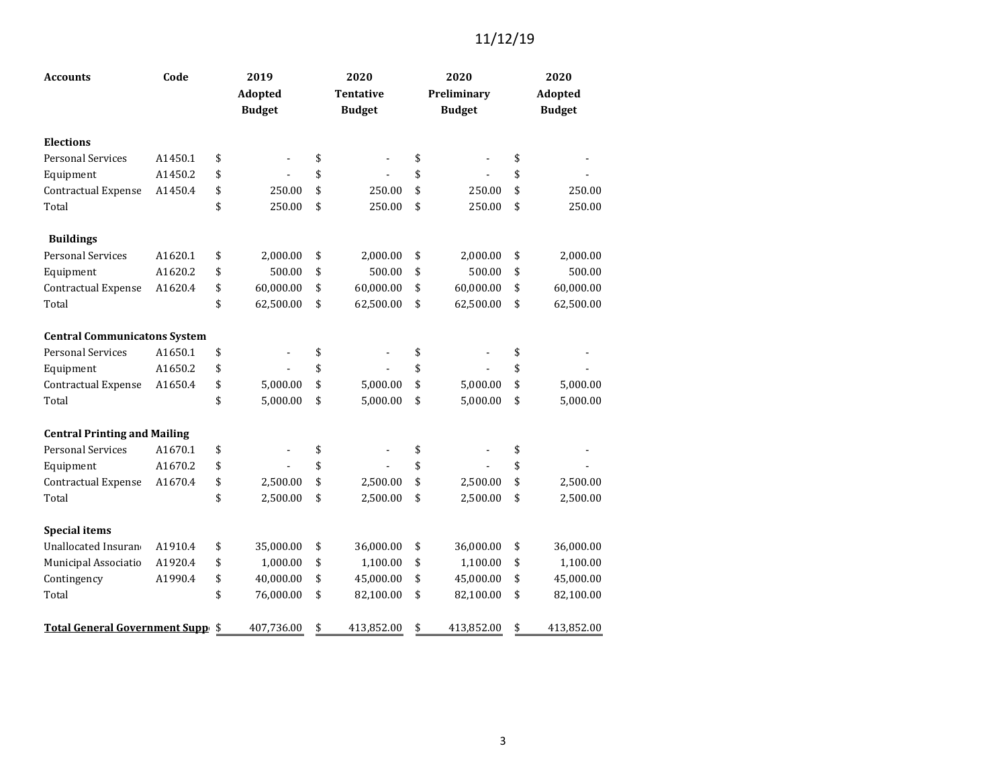| <b>Accounts</b>                     | Code    | 2019<br>Adopted |               |    | 2020<br><b>Tentative</b> | 2020<br>Preliminary | 2020<br><b>Adopted</b> |  |  |
|-------------------------------------|---------|-----------------|---------------|----|--------------------------|---------------------|------------------------|--|--|
|                                     |         |                 | <b>Budget</b> |    | <b>Budget</b>            | <b>Budget</b>       | <b>Budget</b>          |  |  |
| <b>Elections</b>                    |         |                 |               |    |                          |                     |                        |  |  |
| <b>Personal Services</b>            | A1450.1 | \$              |               | \$ |                          | \$                  | \$                     |  |  |
| Equipment                           | A1450.2 | \$              |               | \$ |                          | \$                  | \$                     |  |  |
| Contractual Expense                 | A1450.4 | \$              | 250.00        | \$ | 250.00                   | \$<br>250.00        | \$<br>250.00           |  |  |
| Total                               |         | \$              | 250.00        | \$ | 250.00                   | \$<br>250.00        | \$<br>250.00           |  |  |
| <b>Buildings</b>                    |         |                 |               |    |                          |                     |                        |  |  |
| <b>Personal Services</b>            | A1620.1 | \$              | 2,000.00      | \$ | 2,000.00                 | \$<br>2,000.00      | \$<br>2,000.00         |  |  |
| Equipment                           | A1620.2 | \$              | 500.00        | \$ | 500.00                   | \$<br>500.00        | \$<br>500.00           |  |  |
| Contractual Expense                 | A1620.4 | \$              | 60,000.00     | \$ | 60,000.00                | \$<br>60,000.00     | \$<br>60,000.00        |  |  |
| Total                               |         | \$              | 62,500.00     | \$ | 62,500.00                | \$<br>62,500.00     | \$<br>62,500.00        |  |  |
| <b>Central Communicatons System</b> |         |                 |               |    |                          |                     |                        |  |  |
| <b>Personal Services</b>            | A1650.1 | \$              |               | \$ |                          | \$                  | \$                     |  |  |
| Equipment                           | A1650.2 | \$              |               | \$ |                          | \$                  | \$                     |  |  |
| Contractual Expense                 | A1650.4 | \$              | 5,000.00      | \$ | 5,000.00                 | \$<br>5,000.00      | \$<br>5,000.00         |  |  |
| Total                               |         | \$              | 5,000.00      | \$ | 5,000.00                 | \$<br>5,000.00      | \$<br>5,000.00         |  |  |
| <b>Central Printing and Mailing</b> |         |                 |               |    |                          |                     |                        |  |  |
| <b>Personal Services</b>            | A1670.1 | \$              |               | \$ |                          | \$                  | \$                     |  |  |
| Equipment                           | A1670.2 | \$              |               | \$ |                          | \$                  | \$                     |  |  |
| Contractual Expense                 | A1670.4 | \$              | 2,500.00      | \$ | 2,500.00                 | \$<br>2,500.00      | \$<br>2,500.00         |  |  |
| Total                               |         | \$              | 2,500.00      | \$ | 2,500.00                 | \$<br>2,500.00      | \$<br>2,500.00         |  |  |
| <b>Special items</b>                |         |                 |               |    |                          |                     |                        |  |  |
| Unallocated Insuran                 | A1910.4 | \$              | 35,000.00     | \$ | 36,000.00                | \$<br>36,000.00     | \$<br>36,000.00        |  |  |
| Municipal Associatio                | A1920.4 | \$              | 1,000.00      | \$ | 1,100.00                 | \$<br>1,100.00      | \$<br>1,100.00         |  |  |
| Contingency                         | A1990.4 | \$              | 40,000.00     | \$ | 45,000.00                | \$<br>45,000.00     | \$<br>45,000.00        |  |  |
| Total                               |         | \$              | 76,000.00     | \$ | 82,100.00                | \$<br>82,100.00     | \$<br>82,100.00        |  |  |
| Total General Government Supp \$    |         |                 | 407,736.00    | \$ | 413,852.00               | \$<br>413,852.00    | \$<br>413,852.00       |  |  |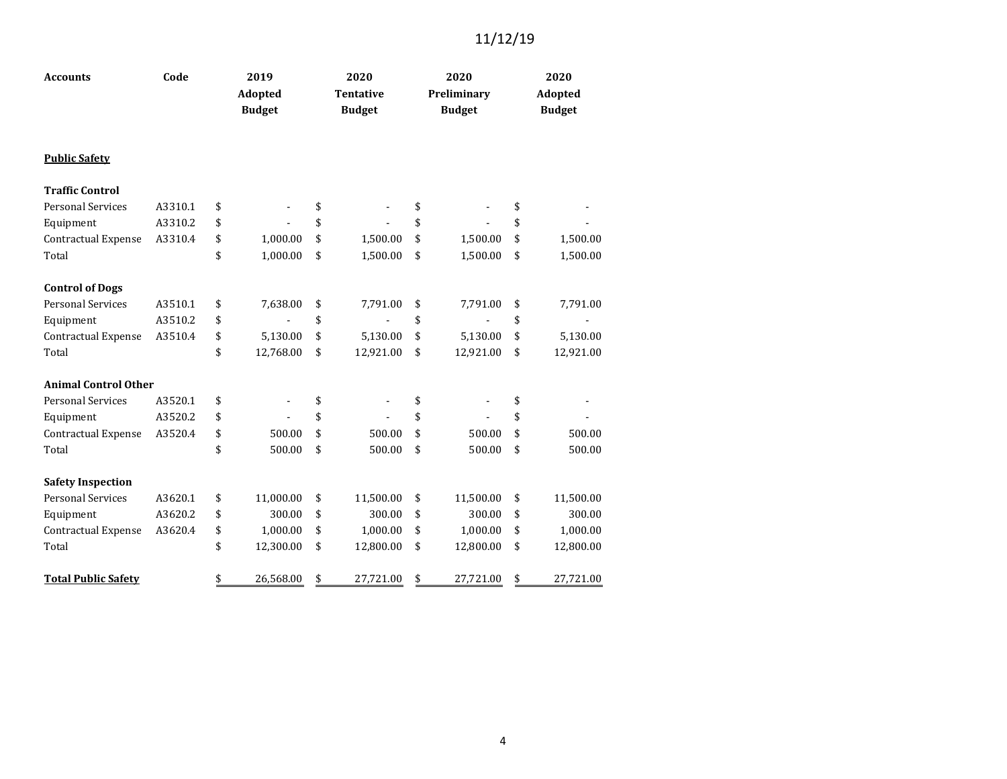| <b>Accounts</b>             | Code    |    | 2019<br>Adopted<br><b>Budget</b> |    | 2020<br><b>Tentative</b><br><b>Budget</b> | 2020<br>Preliminary<br><b>Budget</b> | 2020<br>Adopted<br><b>Budget</b> |           |  |
|-----------------------------|---------|----|----------------------------------|----|-------------------------------------------|--------------------------------------|----------------------------------|-----------|--|
| <b>Public Safety</b>        |         |    |                                  |    |                                           |                                      |                                  |           |  |
| <b>Traffic Control</b>      |         |    |                                  |    |                                           |                                      |                                  |           |  |
| <b>Personal Services</b>    | A3310.1 | \$ |                                  | \$ |                                           | \$                                   | \$                               |           |  |
| Equipment                   | A3310.2 | \$ |                                  | \$ |                                           | \$                                   | \$                               |           |  |
| Contractual Expense         | A3310.4 | \$ | 1,000.00                         | \$ | 1,500.00                                  | \$<br>1,500.00                       | \$                               | 1,500.00  |  |
| Total                       |         | \$ | 1,000.00                         | \$ | 1,500.00                                  | \$<br>1,500.00                       | \$                               | 1,500.00  |  |
| <b>Control of Dogs</b>      |         |    |                                  |    |                                           |                                      |                                  |           |  |
| <b>Personal Services</b>    | A3510.1 | \$ | 7,638.00                         | \$ | 7,791.00                                  | \$<br>7,791.00                       | \$                               | 7,791.00  |  |
| Equipment                   | A3510.2 | \$ |                                  | \$ |                                           | \$                                   | \$                               |           |  |
| Contractual Expense         | A3510.4 | \$ | 5,130.00                         | \$ | 5,130.00                                  | \$<br>5,130.00                       | \$                               | 5,130.00  |  |
| Total                       |         | \$ | 12,768.00                        | \$ | 12,921.00                                 | \$<br>12,921.00                      | \$                               | 12,921.00 |  |
| <b>Animal Control Other</b> |         |    |                                  |    |                                           |                                      |                                  |           |  |
| <b>Personal Services</b>    | A3520.1 | \$ |                                  | \$ |                                           | \$                                   | \$                               |           |  |
| Equipment                   | A3520.2 | \$ |                                  | \$ |                                           | \$                                   | \$                               |           |  |
| Contractual Expense         | A3520.4 | \$ | 500.00                           | \$ | 500.00                                    | \$<br>500.00                         | \$                               | 500.00    |  |
| Total                       |         | \$ | 500.00                           | \$ | 500.00                                    | \$<br>500.00                         | \$                               | 500.00    |  |
| <b>Safety Inspection</b>    |         |    |                                  |    |                                           |                                      |                                  |           |  |
| <b>Personal Services</b>    | A3620.1 | \$ | 11,000.00                        | \$ | 11,500.00                                 | \$<br>11,500.00                      | \$                               | 11,500.00 |  |
| Equipment                   | A3620.2 | \$ | 300.00                           | \$ | 300.00                                    | \$<br>300.00                         | \$                               | 300.00    |  |
| Contractual Expense         | A3620.4 | \$ | 1,000.00                         | \$ | 1,000.00                                  | \$<br>1,000.00                       | \$                               | 1,000.00  |  |
| Total                       |         | \$ | 12,300.00                        | \$ | 12,800.00                                 | \$<br>12,800.00                      | \$                               | 12,800.00 |  |
| <b>Total Public Safety</b>  |         | \$ | 26,568.00                        | \$ | 27,721.00                                 | \$<br>27,721.00                      | \$                               | 27,721.00 |  |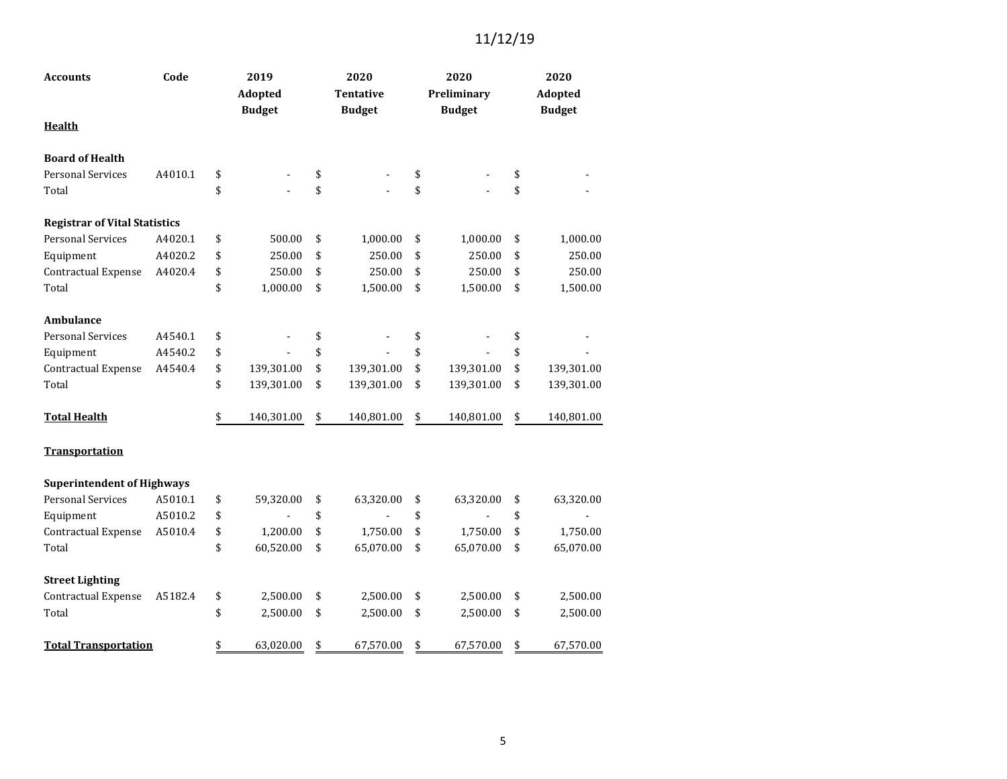| <b>Accounts</b>                      | Code    | 2019<br><b>Adopted</b><br><b>Budget</b> | 2020<br><b>Tentative</b><br><b>Budget</b> | 2020<br>Preliminary<br><b>Budget</b> | 2020<br>Adopted<br><b>Budget</b> |
|--------------------------------------|---------|-----------------------------------------|-------------------------------------------|--------------------------------------|----------------------------------|
| <b>Health</b>                        |         |                                         |                                           |                                      |                                  |
| <b>Board of Health</b>               |         |                                         |                                           |                                      |                                  |
| <b>Personal Services</b>             | A4010.1 | \$                                      | \$                                        | \$                                   | \$                               |
| Total                                |         | \$                                      | \$                                        | \$                                   | \$                               |
| <b>Registrar of Vital Statistics</b> |         |                                         |                                           |                                      |                                  |
| <b>Personal Services</b>             | A4020.1 | \$<br>500.00                            | \$<br>1,000.00                            | \$<br>1,000.00                       | \$<br>1,000.00                   |
| Equipment                            | A4020.2 | \$<br>250.00                            | \$<br>250.00                              | \$<br>250.00                         | \$<br>250.00                     |
| Contractual Expense                  | A4020.4 | \$<br>250.00                            | \$<br>250.00                              | \$<br>250.00                         | \$<br>250.00                     |
| Total                                |         | \$<br>1,000.00                          | \$<br>1,500.00                            | \$<br>1,500.00                       | \$<br>1,500.00                   |
| Ambulance                            |         |                                         |                                           |                                      |                                  |
| <b>Personal Services</b>             | A4540.1 | \$                                      | \$                                        | \$                                   | \$                               |
| Equipment                            | A4540.2 | \$                                      | \$                                        | \$                                   | \$                               |
| Contractual Expense                  | A4540.4 | \$<br>139,301.00                        | \$<br>139,301.00                          | \$<br>139,301.00                     | \$<br>139,301.00                 |
| Total                                |         | \$<br>139,301.00                        | \$<br>139,301.00                          | \$<br>139,301.00                     | \$<br>139,301.00                 |
| <b>Total Health</b>                  |         | \$<br>140,301.00                        | \$<br>140,801.00                          | \$<br>140,801.00                     | \$<br>140,801.00                 |
| <b>Transportation</b>                |         |                                         |                                           |                                      |                                  |
| <b>Superintendent of Highways</b>    |         |                                         |                                           |                                      |                                  |
| <b>Personal Services</b>             | A5010.1 | \$<br>59,320.00                         | \$<br>63,320.00                           | \$<br>63,320.00                      | \$<br>63,320.00                  |
| Equipment                            | A5010.2 | \$                                      | \$                                        | \$                                   | \$                               |
| Contractual Expense                  | A5010.4 | \$<br>1,200.00                          | \$<br>1,750.00                            | \$<br>1,750.00                       | \$<br>1,750.00                   |
| Total                                |         | \$<br>60,520.00                         | \$<br>65,070.00                           | \$<br>65,070.00                      | \$<br>65,070.00                  |
| <b>Street Lighting</b>               |         |                                         |                                           |                                      |                                  |
| Contractual Expense                  | A5182.4 | \$<br>2,500.00                          | \$<br>2,500.00                            | \$<br>2,500.00                       | \$<br>2,500.00                   |
| Total                                |         | \$<br>2,500.00                          | \$<br>2,500.00                            | \$<br>2,500.00                       | \$<br>2,500.00                   |
| <b>Total Transportation</b>          |         | \$<br>63,020.00                         | \$<br>67,570.00                           | \$<br>67,570.00                      | \$<br>67,570.00                  |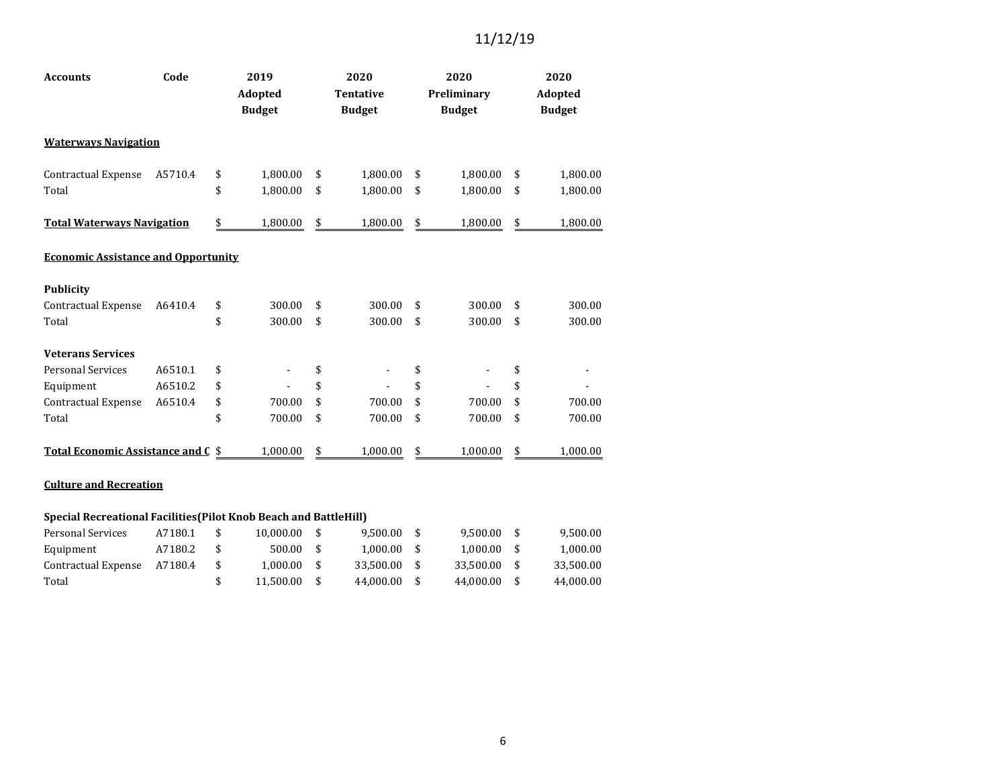| <b>Accounts</b>                            | Code    | 2019<br>Adopted<br><b>Budget</b> | 2020<br><b>Tentative</b><br><b>Budget</b> | 2020<br>Preliminary<br><b>Budget</b> | 2020<br>Adopted<br><b>Budget</b> |
|--------------------------------------------|---------|----------------------------------|-------------------------------------------|--------------------------------------|----------------------------------|
| <b>Waterways Navigation</b>                |         |                                  |                                           |                                      |                                  |
| <b>Contractual Expense</b>                 | A5710.4 | \$<br>1,800.00                   | \$<br>1,800.00                            | \$<br>1,800.00                       | \$<br>1,800.00                   |
| Total                                      |         | \$<br>1,800.00                   | \$<br>1,800.00                            | \$<br>1,800.00                       | \$<br>1,800.00                   |
| <b>Total Waterways Navigation</b>          |         | \$<br>1,800.00                   | \$<br>1,800.00                            | \$<br>1,800.00                       | \$<br>1,800.00                   |
| <b>Economic Assistance and Opportunity</b> |         |                                  |                                           |                                      |                                  |
| <b>Publicity</b>                           |         |                                  |                                           |                                      |                                  |
| Contractual Expense                        | A6410.4 | \$<br>300.00                     | \$<br>300.00                              | \$<br>300.00                         | \$<br>300.00                     |
| Total                                      |         | \$<br>300.00                     | \$<br>300.00                              | \$<br>300.00                         | \$<br>300.00                     |
| <b>Veterans Services</b>                   |         |                                  |                                           |                                      |                                  |
| <b>Personal Services</b>                   | A6510.1 | \$                               | \$                                        | \$                                   | \$                               |
| Equipment                                  | A6510.2 | \$                               | \$                                        | \$                                   | \$                               |
| Contractual Expense                        | A6510.4 | \$<br>700.00                     | \$<br>700.00                              | \$<br>700.00                         | \$<br>700.00                     |
| Total                                      |         | \$<br>700.00                     | \$<br>700.00                              | \$<br>700.00                         | \$<br>700.00                     |
| <b>Total Economic Assistance and C \$</b>  |         | 1,000.00                         | \$<br>1,000.00                            | \$<br>1,000.00                       | \$<br>1,000.00                   |

#### **Culture and Recreation**

#### **Special Recreational Facilities(Pilot Knob Beach and BattleHill)** Personal Services A7180.1 \$ 10,000.00 \$ 9,500.00 \$ 9,500.00 \$ 9,500.00

| Equipment                   | A7180.2 | 500.00 \$ | $1.000.00$ \$ | 1.000.00 S   | 1.000.00  |
|-----------------------------|---------|-----------|---------------|--------------|-----------|
| Contractual Expense A7180.4 |         | 1.000.00  | 33.500.00 \$  | 33.500.00 \$ | 33.500.00 |
| Total                       |         | 11.500.00 | 44.000.00 \$  | 44.000.00 \$ | 44.000.00 |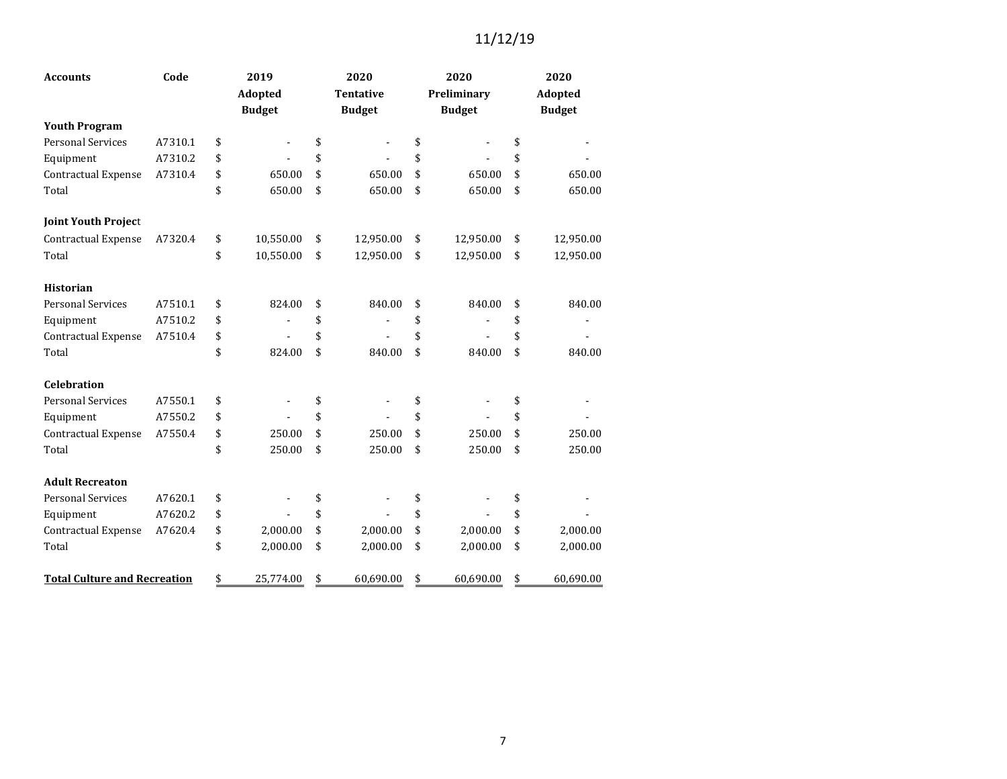| <b>Accounts</b>                     | Code    | 2019            | 2020             | 2020            | 2020            |
|-------------------------------------|---------|-----------------|------------------|-----------------|-----------------|
|                                     |         | <b>Adopted</b>  | <b>Tentative</b> | Preliminary     | Adopted         |
|                                     |         | <b>Budget</b>   | <b>Budget</b>    | <b>Budget</b>   | <b>Budget</b>   |
| <b>Youth Program</b>                |         |                 |                  |                 |                 |
| <b>Personal Services</b>            | A7310.1 | \$              | \$               | \$              | \$              |
| Equipment                           | A7310.2 | \$              | \$               | \$              | \$              |
| Contractual Expense                 | A7310.4 | \$<br>650.00    | \$<br>650.00     | \$<br>650.00    | \$<br>650.00    |
| Total                               |         | \$<br>650.00    | \$<br>650.00     | \$<br>650.00    | \$<br>650.00    |
| <b>Joint Youth Project</b>          |         |                 |                  |                 |                 |
| Contractual Expense                 | A7320.4 | \$<br>10,550.00 | \$<br>12,950.00  | \$<br>12,950.00 | \$<br>12,950.00 |
| Total                               |         | \$<br>10,550.00 | \$<br>12,950.00  | \$<br>12,950.00 | \$<br>12,950.00 |
| <b>Historian</b>                    |         |                 |                  |                 |                 |
| <b>Personal Services</b>            | A7510.1 | \$<br>824.00    | \$<br>840.00     | \$<br>840.00    | \$<br>840.00    |
| Equipment                           | A7510.2 | \$              | \$               | \$              | \$              |
| Contractual Expense                 | A7510.4 | \$              | \$               | \$              | \$              |
| Total                               |         | \$<br>824.00    | \$<br>840.00     | \$<br>840.00    | \$<br>840.00    |
| <b>Celebration</b>                  |         |                 |                  |                 |                 |
| <b>Personal Services</b>            | A7550.1 | \$              | \$               | \$              | \$              |
| Equipment                           | A7550.2 | \$              | \$               | \$              | \$              |
| Contractual Expense                 | A7550.4 | \$<br>250.00    | \$<br>250.00     | \$<br>250.00    | \$<br>250.00    |
| Total                               |         | \$<br>250.00    | \$<br>250.00     | \$<br>250.00    | \$<br>250.00    |
| <b>Adult Recreaton</b>              |         |                 |                  |                 |                 |
| <b>Personal Services</b>            | A7620.1 | \$              | \$               | \$              | \$              |
| Equipment                           | A7620.2 | \$              | \$               | \$              | \$              |
| Contractual Expense                 | A7620.4 | \$<br>2,000.00  | \$<br>2,000.00   | \$<br>2,000.00  | \$<br>2,000.00  |
| Total                               |         | \$<br>2,000.00  | \$<br>2,000.00   | \$<br>2,000.00  | \$<br>2,000.00  |
| <b>Total Culture and Recreation</b> |         | \$<br>25,774.00 | \$<br>60,690.00  | \$<br>60,690.00 | \$<br>60,690.00 |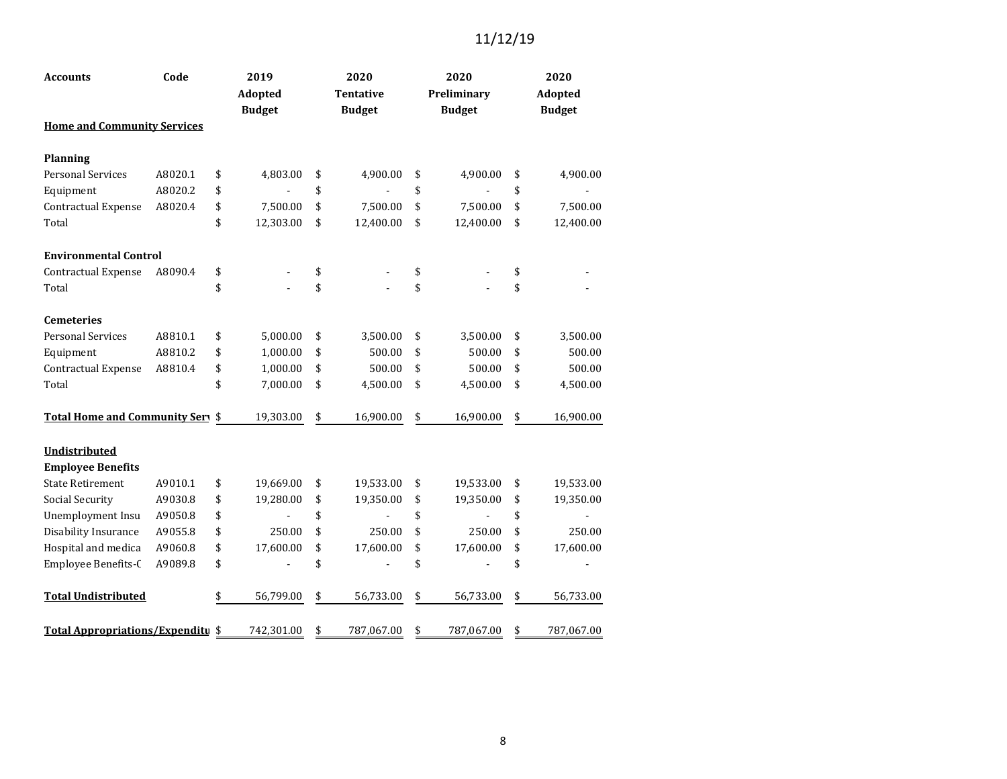| <b>Accounts</b>                      | Code    | 2019<br>Adopted<br><b>Budget</b> | 2020<br><b>Tentative</b><br><b>Budget</b> | 2020<br>Preliminary<br><b>Budget</b> | 2020<br><b>Adopted</b><br><b>Budget</b> |
|--------------------------------------|---------|----------------------------------|-------------------------------------------|--------------------------------------|-----------------------------------------|
| <b>Home and Community Services</b>   |         |                                  |                                           |                                      |                                         |
| <b>Planning</b>                      |         |                                  |                                           |                                      |                                         |
| <b>Personal Services</b>             | A8020.1 | \$<br>4,803.00                   | \$<br>4,900.00                            | \$<br>4,900.00                       | \$<br>4,900.00                          |
| Equipment                            | A8020.2 | \$                               | \$                                        | \$                                   | \$                                      |
| Contractual Expense                  | A8020.4 | \$<br>7,500.00                   | \$<br>7,500.00                            | \$<br>7,500.00                       | \$<br>7,500.00                          |
| Total                                |         | \$<br>12,303.00                  | \$<br>12,400.00                           | \$<br>12,400.00                      | \$<br>12,400.00                         |
| <b>Environmental Control</b>         |         |                                  |                                           |                                      |                                         |
| Contractual Expense                  | A8090.4 | \$                               | \$                                        | \$                                   | \$                                      |
| Total                                |         | \$                               | \$                                        | \$                                   | \$                                      |
| <b>Cemeteries</b>                    |         |                                  |                                           |                                      |                                         |
| <b>Personal Services</b>             | A8810.1 | \$<br>5,000.00                   | \$<br>3,500.00                            | \$<br>3,500.00                       | \$<br>3,500.00                          |
| Equipment                            | A8810.2 | \$<br>1,000.00                   | \$<br>500.00                              | \$<br>500.00                         | \$<br>500.00                            |
| <b>Contractual Expense</b>           | A8810.4 | \$<br>1,000.00                   | \$<br>500.00                              | \$<br>500.00                         | \$<br>500.00                            |
| Total                                |         | \$<br>7,000.00                   | \$<br>4,500.00                            | \$<br>4,500.00                       | \$<br>4,500.00                          |
| <b>Total Home and Community Serv</b> |         | \$<br>19,303.00                  | \$<br>16,900.00                           | \$<br>16,900.00                      | \$<br>16,900.00                         |
| Undistributed                        |         |                                  |                                           |                                      |                                         |
| <b>Employee Benefits</b>             |         |                                  |                                           |                                      |                                         |
| <b>State Retirement</b>              | A9010.1 | \$<br>19,669.00                  | \$<br>19,533.00                           | \$<br>19,533.00                      | \$<br>19,533.00                         |
| Social Security                      | A9030.8 | \$<br>19,280.00                  | \$<br>19,350.00                           | \$<br>19,350.00                      | \$<br>19,350.00                         |
| Unemployment Insu                    | A9050.8 | \$                               | \$                                        | \$                                   | \$                                      |
| Disability Insurance                 | A9055.8 | \$<br>250.00                     | \$<br>250.00                              | \$<br>250.00                         | \$<br>250.00                            |
| Hospital and medica                  | A9060.8 | \$<br>17,600.00                  | \$<br>17,600.00                           | \$<br>17,600.00                      | \$<br>17,600.00                         |
| Employee Benefits-C                  | A9089.8 | \$                               | \$                                        | \$                                   | \$                                      |
| <b>Total Undistributed</b>           |         | \$<br>56,799.00                  | \$<br>56,733.00                           | \$<br>56,733.00                      | \$<br>56,733.00                         |
| Total Appropriations/Expenditu \$    |         | 742,301.00                       | \$<br>787,067.00                          | \$<br>787,067.00                     | \$<br>787,067.00                        |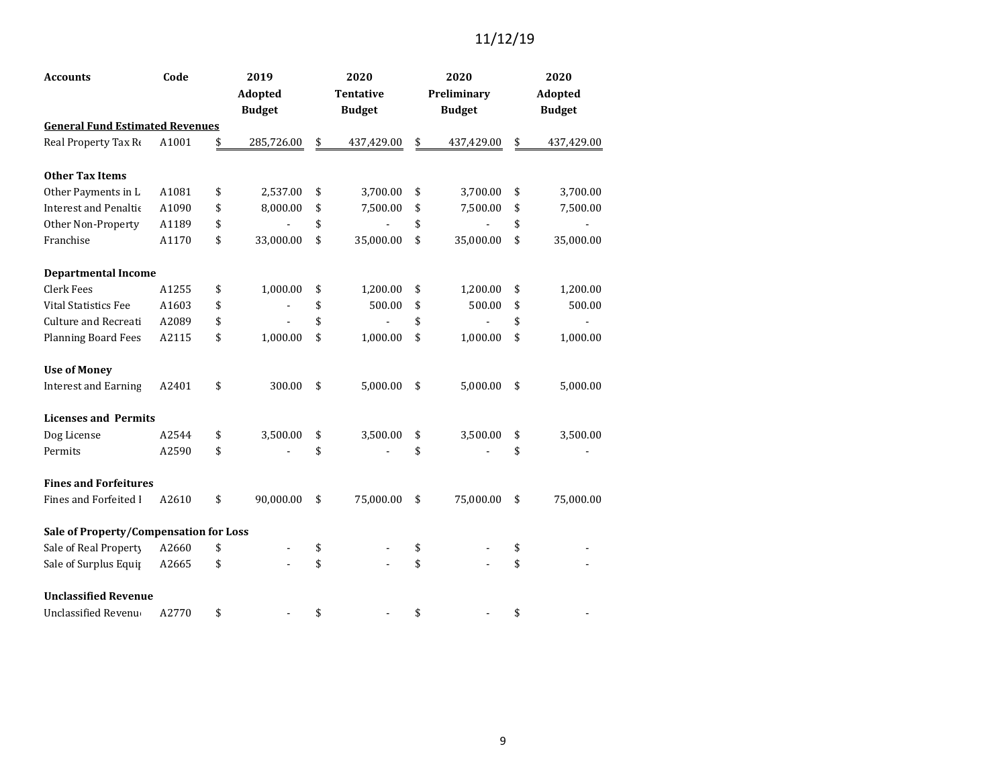| <b>Accounts</b>                        | Code  | 2019             | 2020             | 2020             | 2020             |
|----------------------------------------|-------|------------------|------------------|------------------|------------------|
|                                        |       | Adopted          | <b>Tentative</b> | Preliminary      | Adopted          |
|                                        |       | <b>Budget</b>    | <b>Budget</b>    | <b>Budget</b>    | <b>Budget</b>    |
| <b>General Fund Estimated Revenues</b> |       |                  |                  |                  |                  |
| Real Property Tax Re                   | A1001 | \$<br>285,726.00 | \$<br>437,429.00 | \$<br>437,429.00 | \$<br>437,429.00 |
| <b>Other Tax Items</b>                 |       |                  |                  |                  |                  |
| Other Payments in L                    | A1081 | \$<br>2,537.00   | \$<br>3,700.00   | \$<br>3,700.00   | \$<br>3,700.00   |
| <b>Interest and Penaltic</b>           | A1090 | \$<br>8,000.00   | \$<br>7,500.00   | \$<br>7,500.00   | \$<br>7,500.00   |
| Other Non-Property                     | A1189 | \$               | \$               | \$               | \$               |
| Franchise                              | A1170 | \$<br>33,000.00  | \$<br>35,000.00  | \$<br>35,000.00  | \$<br>35,000.00  |
| <b>Departmental Income</b>             |       |                  |                  |                  |                  |
| <b>Clerk Fees</b>                      | A1255 | \$<br>1,000.00   | \$<br>1,200.00   | \$<br>1,200.00   | \$<br>1,200.00   |
| <b>Vital Statistics Fee</b>            | A1603 | \$               | \$<br>500.00     | \$<br>500.00     | \$<br>500.00     |
| Culture and Recreati                   | A2089 | \$               | \$               | \$               | \$               |
| <b>Planning Board Fees</b>             | A2115 | \$<br>1,000.00   | \$<br>1,000.00   | \$<br>1,000.00   | \$<br>1,000.00   |
| <b>Use of Money</b>                    |       |                  |                  |                  |                  |
| <b>Interest and Earning</b>            | A2401 | \$<br>300.00     | \$<br>5,000.00   | \$<br>5,000.00   | \$<br>5,000.00   |
| <b>Licenses and Permits</b>            |       |                  |                  |                  |                  |
| Dog License                            | A2544 | \$<br>3,500.00   | \$<br>3,500.00   | \$<br>3,500.00   | \$<br>3,500.00   |
| Permits                                | A2590 | \$               | \$               | \$               | \$               |
| <b>Fines and Forfeitures</b>           |       |                  |                  |                  |                  |
| Fines and Forfeited I                  | A2610 | \$<br>90,000.00  | \$<br>75,000.00  | \$<br>75,000.00  | \$<br>75,000.00  |
| Sale of Property/Compensation for Loss |       |                  |                  |                  |                  |
| Sale of Real Property                  | A2660 | \$               | \$               | \$               | \$               |
| Sale of Surplus Equip                  | A2665 | \$               | \$               | \$               | \$               |
| <b>Unclassified Revenue</b>            |       |                  |                  |                  |                  |
| Unclassified Revenu                    | A2770 | \$               | \$               | \$               | \$               |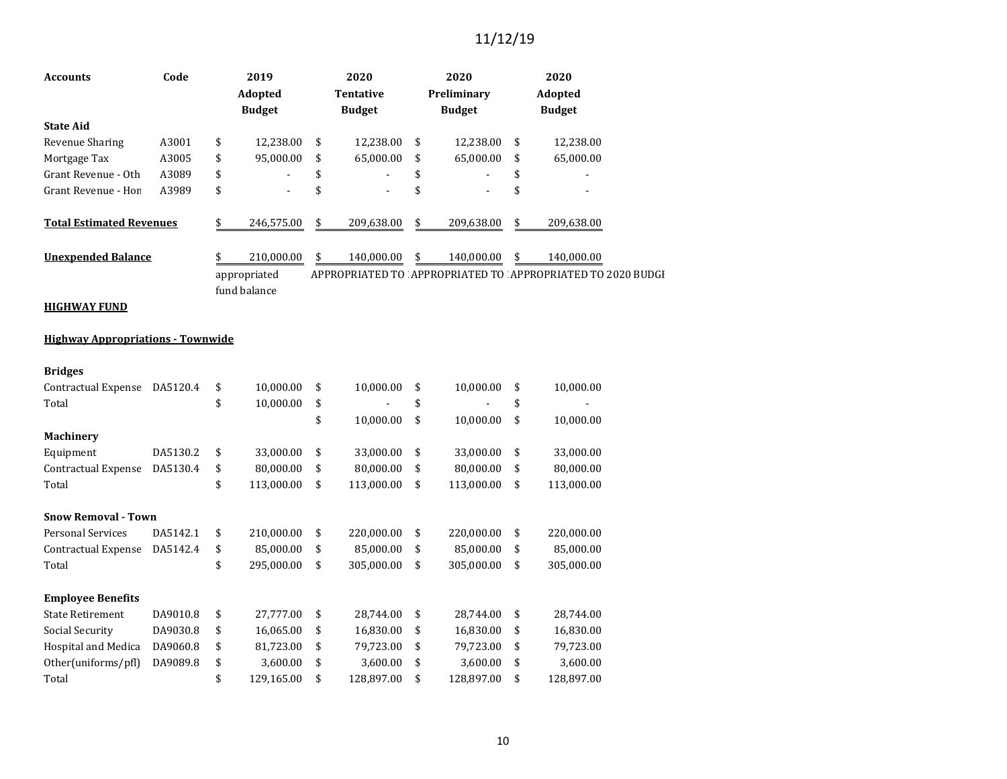| <b>Accounts</b>                          | Code     | 2019<br><b>Adopted</b><br><b>Budget</b> | 2020<br><b>Tentative</b><br><b>Budget</b> | 2020<br>Preliminary<br><b>Budget</b> | 2020<br>Adopted<br><b>Budget</b>                           |
|------------------------------------------|----------|-----------------------------------------|-------------------------------------------|--------------------------------------|------------------------------------------------------------|
| <b>State Aid</b>                         |          |                                         |                                           |                                      |                                                            |
| <b>Revenue Sharing</b>                   | A3001    | \$<br>12,238.00                         | \$<br>12,238.00                           | \$<br>12,238.00                      | \$<br>12,238.00                                            |
| Mortgage Tax                             | A3005    | \$<br>95,000.00                         | \$<br>65,000.00                           | \$<br>65,000.00                      | \$<br>65,000.00                                            |
| Grant Revenue - Oth                      | A3089    | \$                                      | \$                                        | \$                                   | \$                                                         |
| Grant Revenue - Hon                      | A3989    | \$                                      | \$                                        | \$                                   | \$                                                         |
| <b>Total Estimated Revenues</b>          |          | \$<br>246,575.00                        | \$<br>209,638.00                          | \$<br>209,638.00                     | \$<br>209,638.00                                           |
| <b>Unexpended Balance</b>                |          | \$<br>210,000.00                        | \$<br>140,000.00                          | \$<br>140,000.00                     | \$<br>140,000.00                                           |
|                                          |          | appropriated                            |                                           |                                      | APPROPRIATED TO APPROPRIATED TO APPROPRIATED TO 2020 BUDGI |
| <b>HIGHWAY FUND</b>                      |          | fund balance                            |                                           |                                      |                                                            |
| <b>Highway Appropriations - Townwide</b> |          |                                         |                                           |                                      |                                                            |
| <b>Bridges</b>                           |          |                                         |                                           |                                      |                                                            |
| Contractual Expense                      | DA5120.4 | \$<br>10,000.00                         | \$<br>10,000.00                           | \$<br>10,000.00                      | \$<br>10,000.00                                            |
| Total                                    |          | \$<br>10,000.00                         | \$                                        | \$                                   | \$                                                         |
|                                          |          |                                         | \$<br>10,000.00                           | \$<br>10,000.00                      | \$<br>10,000.00                                            |
| Machinery                                |          |                                         |                                           |                                      |                                                            |
| Equipment                                | DA5130.2 | \$<br>33,000.00                         | \$<br>33,000.00                           | \$<br>33,000.00                      | \$<br>33,000.00                                            |
| <b>Contractual Expense</b>               | DA5130.4 | \$<br>80,000.00                         | \$<br>80,000.00                           | \$<br>80,000.00                      | \$<br>80,000.00                                            |
| Total                                    |          | \$<br>113,000.00                        | \$<br>113,000.00                          | \$<br>113,000.00                     | \$<br>113,000.00                                           |
| <b>Snow Removal - Town</b>               |          |                                         |                                           |                                      |                                                            |
| <b>Personal Services</b>                 | DA5142.1 | \$<br>210,000.00                        | \$<br>220,000.00                          | \$<br>220,000.00                     | \$<br>220,000.00                                           |
| Contractual Expense                      | DA5142.4 | \$<br>85,000.00                         | \$<br>85,000.00                           | \$<br>85,000.00                      | \$<br>85,000.00                                            |
| Total                                    |          | \$<br>295,000.00                        | \$<br>305,000.00                          | \$<br>305,000.00                     | \$<br>305,000.00                                           |
| <b>Employee Benefits</b>                 |          |                                         |                                           |                                      |                                                            |
| <b>State Retirement</b>                  | DA9010.8 | \$<br>27,777.00                         | \$<br>28,744.00                           | \$<br>28,744.00                      | \$<br>28,744.00                                            |
| Social Security                          | DA9030.8 | \$<br>16,065.00                         | \$<br>16,830.00                           | \$<br>16,830.00                      | \$<br>16,830.00                                            |
| Hospital and Medica                      | DA9060.8 | \$<br>81,723.00                         | \$<br>79,723.00                           | \$<br>79,723.00                      | \$<br>79,723.00                                            |
| Other(uniforms/pfl)                      | DA9089.8 | \$<br>3,600.00                          | \$<br>3,600.00                            | \$<br>3,600.00                       | \$<br>3,600.00                                             |
| Total                                    |          | \$<br>129,165.00                        | \$<br>128,897.00                          | \$<br>128,897.00                     | \$<br>128,897.00                                           |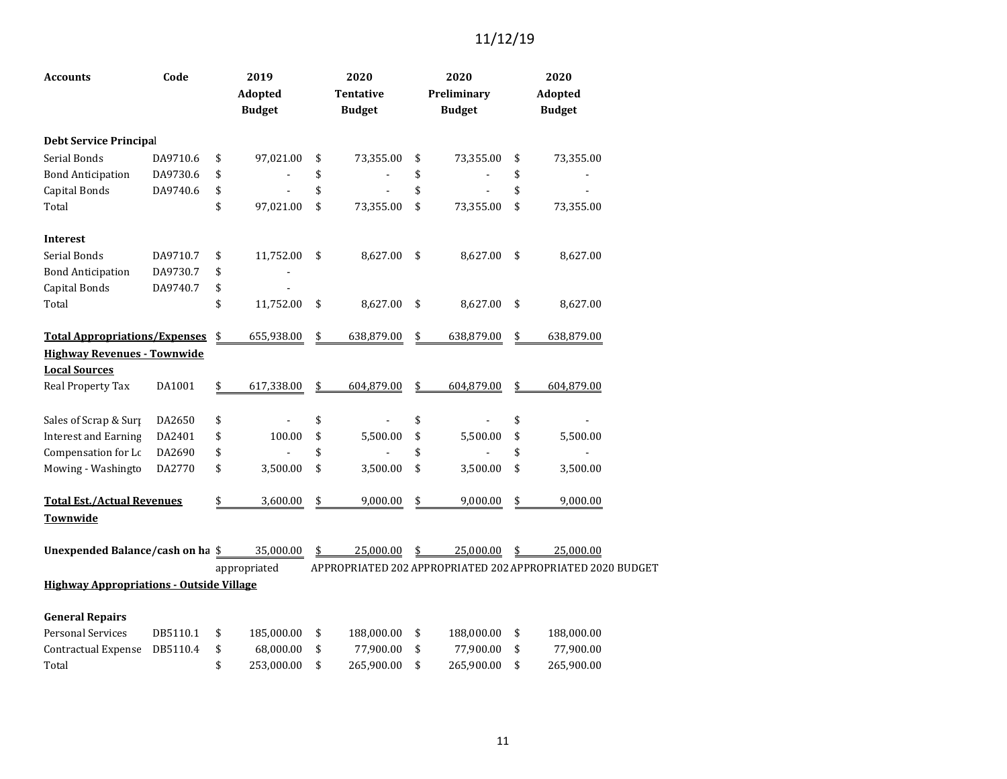| <b>Accounts</b>                                 | Code     | 2019<br><b>Adopted</b><br><b>Budget</b> | 2020<br><b>Tentative</b><br><b>Budget</b> | 2020<br>Preliminary<br><b>Budget</b> | 2020<br><b>Adopted</b><br><b>Budget</b>                    |  |
|-------------------------------------------------|----------|-----------------------------------------|-------------------------------------------|--------------------------------------|------------------------------------------------------------|--|
| <b>Debt Service Principal</b>                   |          |                                         |                                           |                                      |                                                            |  |
| Serial Bonds                                    | DA9710.6 | \$<br>97,021.00                         | \$<br>73,355.00                           | \$<br>73,355.00                      | \$<br>73,355.00                                            |  |
| <b>Bond Anticipation</b>                        | DA9730.6 | \$                                      | \$                                        | \$                                   | \$                                                         |  |
| Capital Bonds                                   | DA9740.6 | \$                                      | \$                                        | \$                                   | \$                                                         |  |
| Total                                           |          | \$<br>97,021.00                         | \$<br>73,355.00                           | \$<br>73,355.00                      | \$<br>73,355.00                                            |  |
| <b>Interest</b>                                 |          |                                         |                                           |                                      |                                                            |  |
| Serial Bonds                                    | DA9710.7 | \$<br>11,752.00                         | \$<br>8,627.00                            | \$<br>8,627.00                       | \$<br>8,627.00                                             |  |
| <b>Bond Anticipation</b>                        | DA9730.7 | \$                                      |                                           |                                      |                                                            |  |
| Capital Bonds                                   | DA9740.7 | \$                                      |                                           |                                      |                                                            |  |
| Total                                           |          | \$<br>11,752.00                         | \$<br>8,627.00                            | \$<br>8,627.00                       | \$<br>8,627.00                                             |  |
| <b>Total Appropriations/Expenses</b>            |          | \$<br>655,938.00                        | \$<br>638,879.00                          | \$<br>638,879.00                     | \$<br>638,879.00                                           |  |
| <b>Highway Revenues - Townwide</b>              |          |                                         |                                           |                                      |                                                            |  |
| <b>Local Sources</b>                            |          |                                         |                                           |                                      |                                                            |  |
| Real Property Tax                               | DA1001   | \$<br>617,338.00                        | \$<br>604,879.00                          | \$<br>604,879.00                     | \$<br>604,879.00                                           |  |
| Sales of Scrap & Surp                           | DA2650   | \$                                      | \$                                        | \$                                   | \$                                                         |  |
| <b>Interest and Earning</b>                     | DA2401   | \$<br>100.00                            | \$<br>5,500.00                            | \$<br>5,500.00                       | \$<br>5,500.00                                             |  |
| Compensation for Lc                             | DA2690   | \$                                      | \$                                        | \$                                   | \$                                                         |  |
| Mowing - Washingto                              | DA2770   | \$<br>3,500.00                          | \$<br>3,500.00                            | \$<br>3,500.00                       | \$<br>3,500.00                                             |  |
| <b>Total Est./Actual Revenues</b>               |          | \$<br>3,600.00                          | \$<br>9,000.00                            | \$<br>9,000.00                       | \$<br>9,000.00                                             |  |
| Townwide                                        |          |                                         |                                           |                                      |                                                            |  |
| Unexpended Balance/cash on ha \$                |          | 35,000.00                               | \$<br>25,000.00                           | \$<br>25,000.00                      | \$<br>25,000.00                                            |  |
|                                                 |          | appropriated                            |                                           |                                      | APPROPRIATED 202 APPROPRIATED 202 APPROPRIATED 2020 BUDGET |  |
| <b>Highway Appropriations - Outside Village</b> |          |                                         |                                           |                                      |                                                            |  |
| <b>General Repairs</b>                          |          |                                         |                                           |                                      |                                                            |  |
| <b>Personal Services</b>                        | DB5110.1 | \$<br>185,000.00                        | \$<br>188,000.00                          | \$<br>188,000.00                     | \$<br>188,000.00                                           |  |
| <b>Contractual Expense</b>                      | DB5110.4 | \$<br>68,000.00                         | \$<br>77,900.00                           | \$<br>77,900.00                      | \$<br>77,900.00                                            |  |
| Total                                           |          | \$<br>253,000.00                        | \$<br>265,900.00                          | \$<br>265,900.00                     | \$<br>265,900.00                                           |  |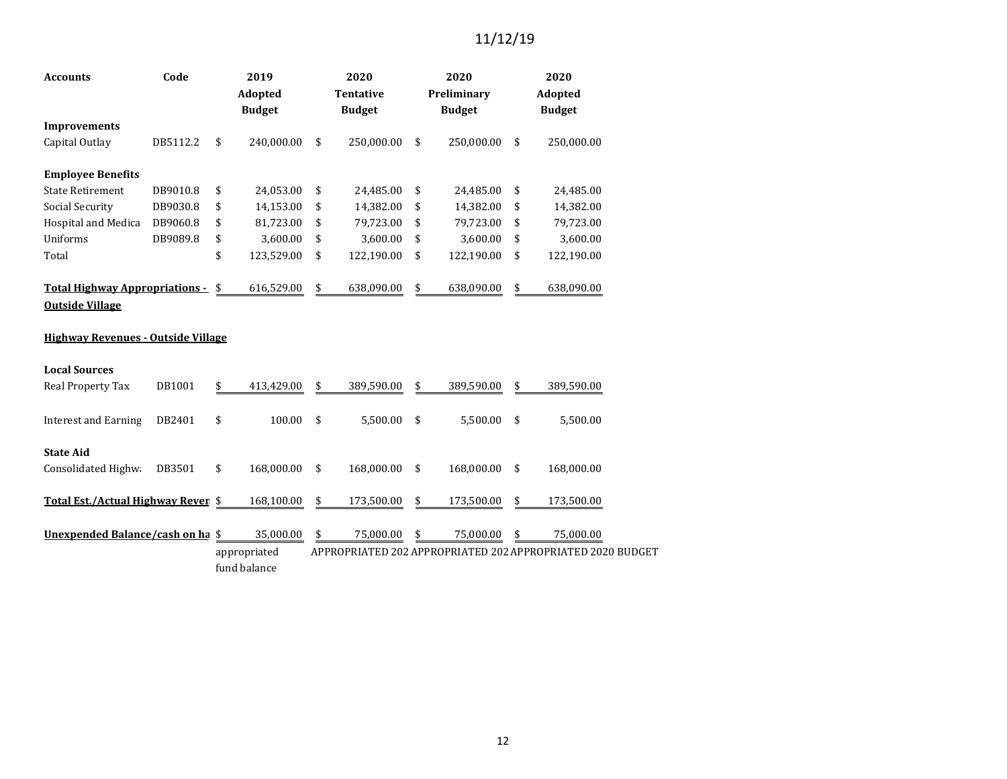| <b>Accounts</b>                                                 | Code     |    | 2019<br>Adopted<br><b>Budget</b> | 2020<br><b>Tentative</b><br><b>Budget</b> |            |    | 2020<br>Preliminary<br><b>Budget</b> | 2020<br><b>Adopted</b><br><b>Budget</b> |                                                            |  |
|-----------------------------------------------------------------|----------|----|----------------------------------|-------------------------------------------|------------|----|--------------------------------------|-----------------------------------------|------------------------------------------------------------|--|
| <b>Improvements</b>                                             |          |    |                                  |                                           |            |    |                                      |                                         |                                                            |  |
| Capital Outlay                                                  | DB5112.2 | \$ | 240,000.00                       | \$                                        | 250,000.00 | \$ | 250,000.00                           | \$                                      | 250,000.00                                                 |  |
| <b>Employee Benefits</b>                                        |          |    |                                  |                                           |            |    |                                      |                                         |                                                            |  |
| <b>State Retirement</b>                                         | DB9010.8 | \$ | 24,053.00                        | \$                                        | 24,485.00  | \$ | 24,485.00                            | \$                                      | 24,485.00                                                  |  |
| Social Security                                                 | DB9030.8 | \$ | 14,153.00                        | \$                                        | 14,382.00  | \$ | 14,382.00                            | \$                                      | 14,382.00                                                  |  |
| Hospital and Medica                                             | DB9060.8 | \$ | 81,723.00                        | \$                                        | 79,723.00  | \$ | 79,723.00                            | \$                                      | 79,723.00                                                  |  |
| Uniforms                                                        | DB9089.8 | \$ | 3,600.00                         | \$                                        | 3,600.00   | \$ | 3,600.00                             | \$                                      | 3,600.00                                                   |  |
| Total                                                           |          | \$ | 123,529.00                       | \$                                        | 122,190.00 | \$ | 122,190.00                           | \$                                      | 122,190.00                                                 |  |
| <b>Total Highway Appropriations -</b><br><b>Outside Village</b> |          | \$ | 616,529.00                       | \$                                        | 638,090.00 | \$ | 638,090.00                           | \$                                      | 638,090.00                                                 |  |
| <b>Highway Revenues - Outside Village</b>                       |          |    |                                  |                                           |            |    |                                      |                                         |                                                            |  |
| <b>Local Sources</b>                                            |          |    |                                  |                                           |            |    |                                      |                                         |                                                            |  |
| Real Property Tax                                               | DB1001   | \$ | 413,429.00                       | \$                                        | 389,590.00 | \$ | 389,590.00                           | \$                                      | 389,590.00                                                 |  |
| <b>Interest and Earning</b>                                     | DB2401   | \$ | 100.00                           | \$                                        | 5,500.00   | \$ | 5,500.00                             | \$                                      | 5,500.00                                                   |  |
| <b>State Aid</b>                                                |          |    |                                  |                                           |            |    |                                      |                                         |                                                            |  |
| Consolidated Highwa                                             | DB3501   | \$ | 168,000.00                       | \$                                        | 168,000.00 | \$ | 168,000.00                           | \$                                      | 168,000.00                                                 |  |
| Total Est./Actual Highway Reven \$                              |          |    | 168,100.00                       | \$                                        | 173,500.00 | \$ | 173,500.00                           | \$                                      | 173,500.00                                                 |  |
| Unexpended Balance/cash on ha \$                                |          |    | 35,000.00                        | \$                                        | 75,000.00  | \$ | 75,000.00                            | \$                                      | 75,000.00                                                  |  |
|                                                                 |          |    | appropriated<br>fund balance     |                                           |            |    |                                      |                                         | APPROPRIATED 202 APPROPRIATED 202 APPROPRIATED 2020 BUDGET |  |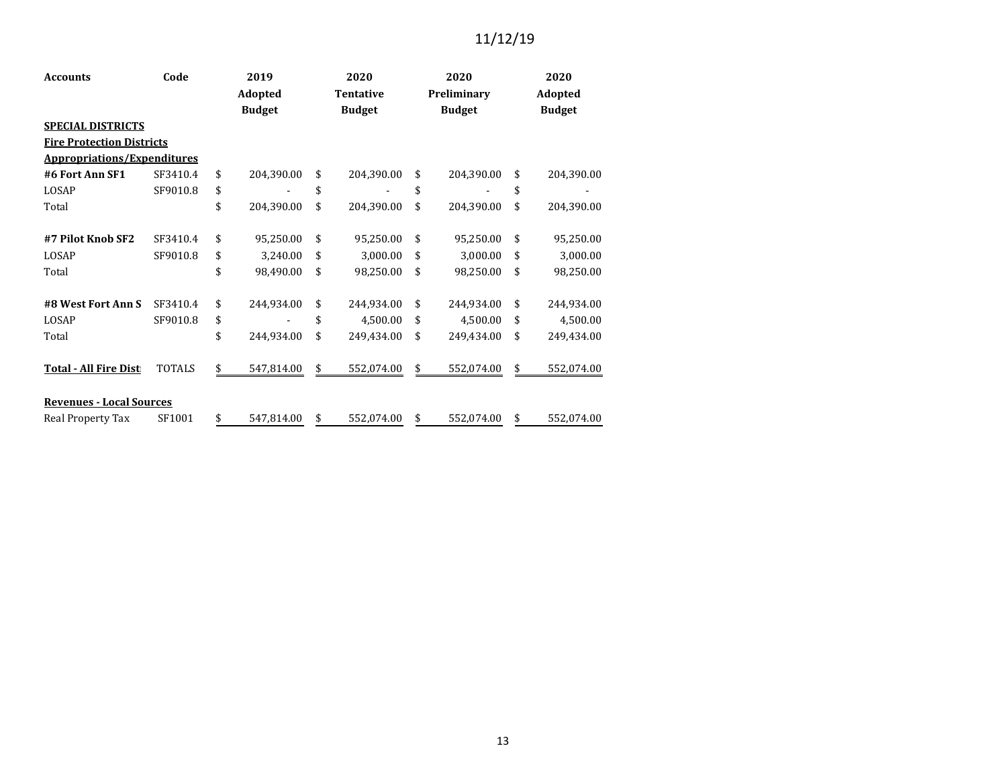| <b>Accounts</b>                    | Code          | 2019<br>Adopted  | 2020<br><b>Tentative</b> | 2020<br>Preliminary | 2020<br>Adopted |               |  |
|------------------------------------|---------------|------------------|--------------------------|---------------------|-----------------|---------------|--|
|                                    |               | <b>Budget</b>    | <b>Budget</b>            | <b>Budget</b>       |                 | <b>Budget</b> |  |
| <b>SPECIAL DISTRICTS</b>           |               |                  |                          |                     |                 |               |  |
| <b>Fire Protection Districts</b>   |               |                  |                          |                     |                 |               |  |
| <b>Appropriations/Expenditures</b> |               |                  |                          |                     |                 |               |  |
| #6 Fort Ann SF1                    | SF3410.4      | \$<br>204,390.00 | \$<br>204,390.00         | \$<br>204,390.00    | \$              | 204,390.00    |  |
| LOSAP                              | SF9010.8      | \$               | \$                       | \$                  | \$              |               |  |
| Total                              |               | \$<br>204,390.00 | \$<br>204,390.00         | \$<br>204,390.00    | \$              | 204,390.00    |  |
| #7 Pilot Knob SF2                  | SF3410.4      | \$<br>95,250.00  | \$<br>95,250.00          | \$<br>95,250.00     | \$              | 95,250.00     |  |
| LOSAP                              | SF9010.8      | \$<br>3,240.00   | \$<br>3,000.00           | \$<br>3,000.00      | \$              | 3,000.00      |  |
| Total                              |               | \$<br>98,490.00  | \$<br>98,250.00          | \$<br>98,250.00     | \$              | 98,250.00     |  |
| #8 West Fort Ann S                 | SF3410.4      | \$<br>244,934.00 | \$<br>244,934.00         | \$<br>244,934.00    | \$              | 244,934.00    |  |
| LOSAP                              | SF9010.8      | \$               | \$<br>4,500.00           | \$<br>4,500.00      | \$              | 4,500.00      |  |
| Total                              |               | \$<br>244,934.00 | \$<br>249,434.00         | \$<br>249,434.00    | \$              | 249,434.00    |  |
| <b>Total - All Fire Dist</b>       | <b>TOTALS</b> | \$<br>547,814.00 | \$<br>552,074.00         | \$<br>552,074.00    | \$              | 552,074.00    |  |
| <b>Revenues - Local Sources</b>    |               |                  |                          |                     |                 |               |  |
| Real Property Tax                  | SF1001        | \$<br>547,814.00 | \$<br>552,074.00         | \$<br>552,074.00    | \$              | 552,074.00    |  |